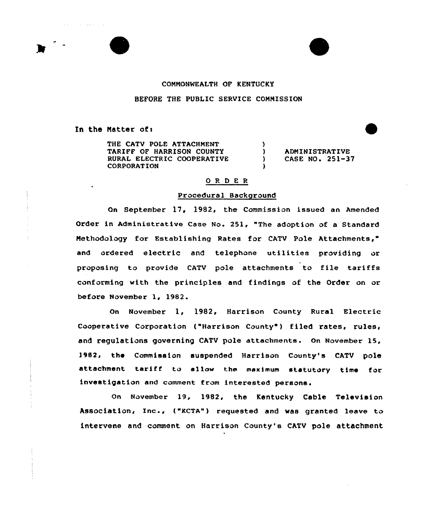

 $\Delta$  , and  $\Delta$  , and  $\Delta$  , and  $\Delta$  , and  $\Delta$ 

# COMMONWEALTH OF KENTUCKY

### BEFORE THE PUBLIC SERVICE COMMISSION

In the Matter of:

THE CATV POLE ATTACHMENT TARIFF OF HARRISON COUNTY RURAL ELECTRIC COOPERATIVE CORPORATION

) ADMINISTRATIVE<br>) CASE NO. 251-31 ) CASE NO. 251-37

## ORDER

)

)

### Procedural Background

Gn September 17, 1982, the Commission issued an Amended Order in Administrative Case No. 251, "The adoption of a Standard Methodology for Establishing Rates for CATV Pole Attachments," and ordered electric and telephone utilities providing or proposing to provide CATV pole attachments to file tariffs conforming with the principles and findings of the Order on or before November 1, 1982.

On November 1, 1982, Harrison County Rural Electric Cooperative Corporation ("Harrison County') filed rates, rules, and regulations governing CATV pole attachments. On November 15, 1982, the Commission suspended Harrison County's CATV pole attachment tariff to allow the maximum statutory time for investigation and comment from interested persons.

On November 19, 1982, the Kentucky Cable Television Association, Inc-, ("KCTA") requested and was granted leave to intervene and comment on Harrison County's CATV pole attachment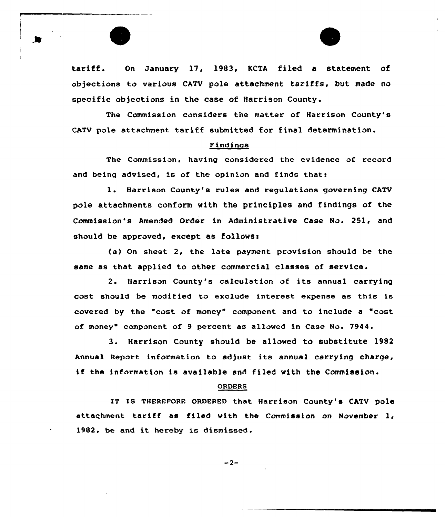

tariff. On January 17, 1983, KCTA filed <sup>a</sup> statement of objections to various CATV pole attachment tariffs, but made no specific objections in the case of Harrison County.

The Commission considers the matter of Harrison County's CATV pole attachment tariff submitted for final determination.

#### Findings

The Commission, having considered the evidence of record and being advised, is of the opinion and finds that:

1. Harrison County's rules and regulations governing CATV pole attachments conform with the principles and findings of the Commission's Amended Order in Administrative Case No. 251, and should be approved, except as follows:

(a) On sheet 2, the late payment provision should be the same as that applied to other commercial classes of service .

2. Harrison County's calculation of its annual carrying cost should be modified to exclude interest expense as this is covered by the "cost of money" component and to include a "cost of money" component of 9 percent as allowed in Case No. 7944.

3. Harrison County should be allowed to substitute 1982 Annual Report information to adjust its annual carrying charge, if the information is available and filed with the Commission.

#### ORDERS

IT IS THEREFORE ORDERED that Harrison County's CATV pole attachment tariff as filed with the Commission on November 1, 1982, be and it hereby is dismissed.

 $-2-$